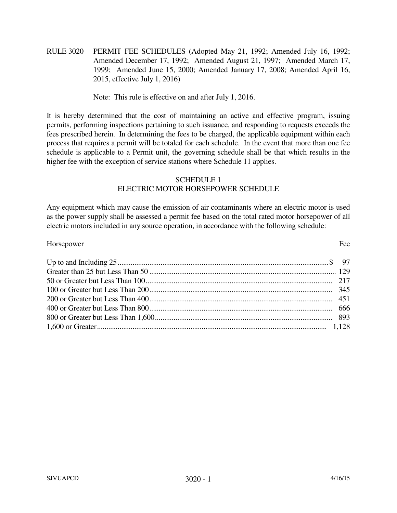RULE 3020 PERMIT FEE SCHEDULES (Adopted May 21, 1992; Amended July 16, 1992; Amended December 17, 1992; Amended August 21, 1997; Amended March 17, 1999; Amended June 15, 2000; Amended January 17, 2008; Amended April 16, 2015, effective July 1, 2016)

Note: This rule is effective on and after July 1, 2016.

It is hereby determined that the cost of maintaining an active and effective program, issuing permits, performing inspections pertaining to such issuance, and responding to requests exceeds the fees prescribed herein. In determining the fees to be charged, the applicable equipment within each process that requires a permit will be totaled for each schedule. In the event that more than one fee schedule is applicable to a Permit unit, the governing schedule shall be that which results in the higher fee with the exception of service stations where Schedule 11 applies.

# SCHEDULE 1 ELECTRIC MOTOR HORSEPOWER SCHEDULE

Any equipment which may cause the emission of air contaminants where an electric motor is used as the power supply shall be assessed a permit fee based on the total rated motor horsepower of all electric motors included in any source operation, in accordance with the following schedule:

| Horsepower | Fee |
|------------|-----|
|            |     |
|            |     |
|            |     |
|            |     |
|            |     |
|            |     |
|            |     |
|            |     |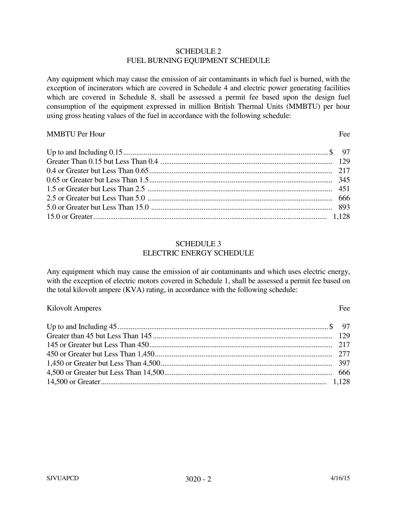## SCHEDULE 2 FUEL BURNING EQUIPMENT SCHEDULE

Any equipment which may cause the emission of air contaminants in which fuel is burned, with the exception of incinerators which are covered in Schedule 4 and electric power generating facilities which are covered in Schedule 8, shall be assessed a permit fee based upon the design fuel consumption of the equipment expressed in million British Thermal Units (MMBTU) per hour using gross heating values of the fuel in accordance with the following schedule:

## MMBTU Per Hour Fee

## SCHEDULE 3 ELECTRIC ENERGY SCHEDULE

Any equipment which may cause the emission of air contaminants and which uses electric energy, with the exception of electric motors covered in Schedule 1, shall be assessed a permit fee based on the total kilovolt ampere (KVA) rating, in accordance with the following schedule:

## Kilovolt Amperes Fee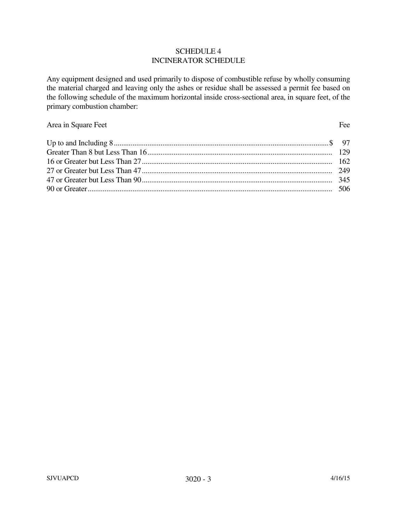## SCHEDULE 4 INCINERATOR SCHEDULE

Any equipment designed and used primarily to dispose of combustible refuse by wholly consuming the material charged and leaving only the ashes or residue shall be assessed a permit fee based on the following schedule of the maximum horizontal inside cross-sectional area, in square feet, of the primary combustion chamber:

# Area in Square Feet Fee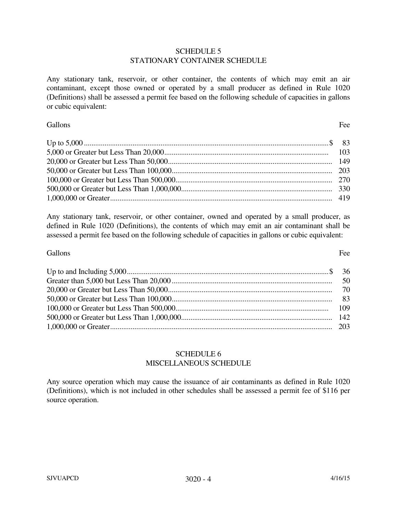## SCHEDULE 5 STATIONARY CONTAINER SCHEDULE

Any stationary tank, reservoir, or other container, the contents of which may emit an air contaminant, except those owned or operated by a small producer as defined in Rule 1020 (Definitions) shall be assessed a permit fee based on the following schedule of capacities in gallons or cubic equivalent:

# Gallons Fee

Any stationary tank, reservoir, or other container, owned and operated by a small producer, as defined in Rule 1020 (Definitions), the contents of which may emit an air contaminant shall be assessed a permit fee based on the following schedule of capacities in gallons or cubic equivalent:

# Gallons Fee

# SCHEDULE 6 MISCELLANEOUS SCHEDULE

Any source operation which may cause the issuance of air contaminants as defined in Rule 1020 (Definitions), which is not included in other schedules shall be assessed a permit fee of \$116 per source operation.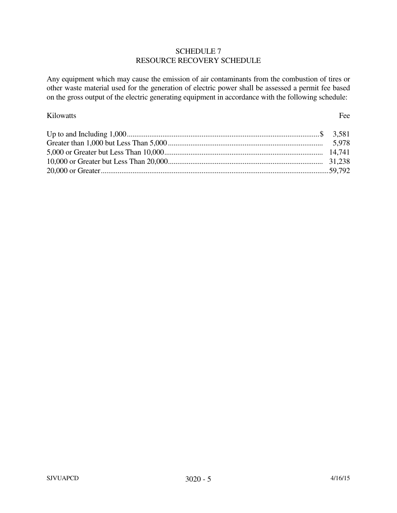# SCHEDULE 7 RESOURCE RECOVERY SCHEDULE

Any equipment which may cause the emission of air contaminants from the combustion of tires or other waste material used for the generation of electric power shall be assessed a permit fee based on the gross output of the electric generating equipment in accordance with the following schedule:

# Kilowatts Fee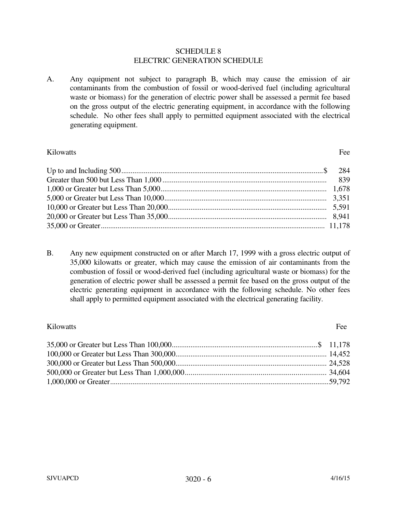### SCHEDULE 8 ELECTRIC GENERATION SCHEDULE

A. Any equipment not subject to paragraph B, which may cause the emission of air contaminants from the combustion of fossil or wood-derived fuel (including agricultural waste or biomass) for the generation of electric power shall be assessed a permit fee based on the gross output of the electric generating equipment, in accordance with the following schedule. No other fees shall apply to permitted equipment associated with the electrical generating equipment.

# Kilowatts Fee

B. Any new equipment constructed on or after March 17, 1999 with a gross electric output of 35,000 kilowatts or greater, which may cause the emission of air contaminants from the combustion of fossil or wood-derived fuel (including agricultural waste or biomass) for the generation of electric power shall be assessed a permit fee based on the gross output of the electric generating equipment in accordance with the following schedule. No other fees shall apply to permitted equipment associated with the electrical generating facility.

# Kilowatts Fee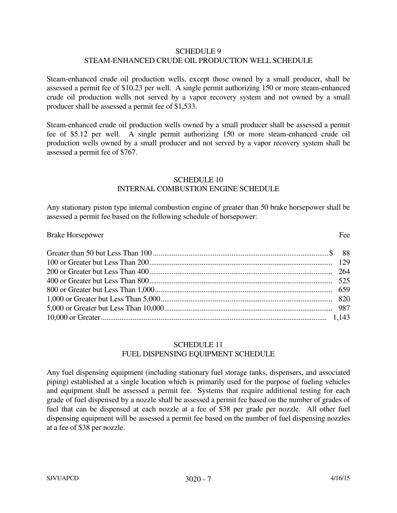## SCHEDULE 9 STEAM-ENHANCED CRUDE OIL PRODUCTION WELL SCHEDULE

Steam-enhanced crude oil production wells, except those owned by a small producer, shall be assessed a permit fee of \$10.23 per well. A single permit authorizing 150 or more steam-enhanced crude oil production wells not served by a vapor recovery system and not owned by a small producer shall be assessed a permit fee of \$1,533.

Steam-enhanced crude oil production wells owned by a small producer shall be assessed a permit fee of \$5.12 per well. A single permit authorizing 150 or more steam-enhanced crude oil production wells owned by a small producer and not served by a vapor recovery system shall be assessed a permit fee of \$767.

## SCHEDULE 10 INTERNAL COMBUSTION ENGINE SCHEDULE

Any stationary piston type internal combustion engine of greater than 50 brake horsepower shall be assessed a permit fee based on the following schedule of horsepower:

### Brake Horsepower Fee

# SCHEDULE 11 FUEL DISPENSING EQUIPMENT SCHEDULE

Any fuel dispensing equipment (including stationary fuel storage tanks, dispensers, and associated piping) established at a single location which is primarily used for the purpose of fueling vehicles and equipment shall be assessed a permit fee. Systems that require additional testing for each grade of fuel dispensed by a nozzle shall be assessed a permit fee based on the number of grades of fuel that can be dispensed at each nozzle at a fee of \$38 per grade per nozzle. All other fuel dispensing equipment will be assessed a permit fee based on the number of fuel dispensing nozzles at a fee of \$38 per nozzle.